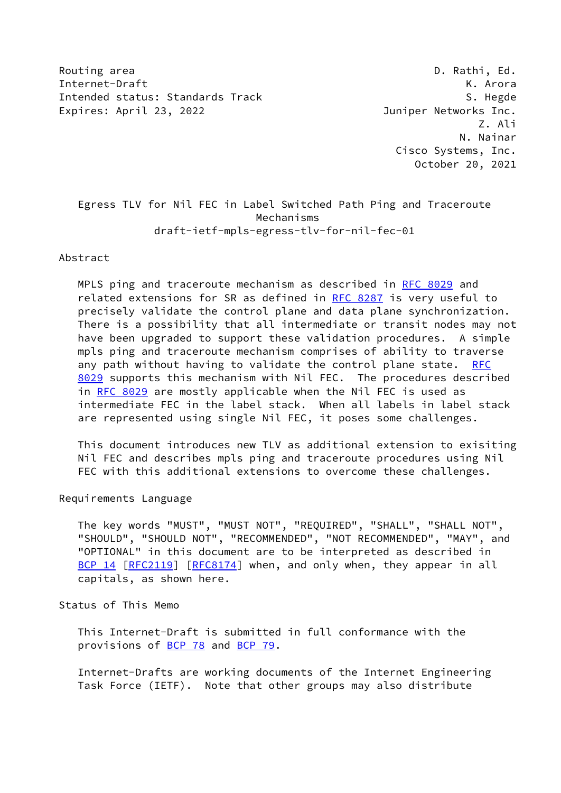Routing area **D. Rathi, Ed.** 2008, 2008, 2008, 2008, 2008, 2008, 2008, 2008, 2008, 2008, 2008, 2008, 2008, 2008, 2008, 2008, 2008, 2008, 2008, 2008, 2008, 2008, 2008, 2008, 2008, 2008, 2008, 2008, 2008, 2008, 2008, 2008, 2 Internet-Draft K. Arora Intended status: Standards Track S. Hegde S. Hegde Expires: April 23, 2022 **Interpreterate Contract Contract Contract** Juniper Networks Inc.

 Z. Ali N. Nainar Cisco Systems, Inc. October 20, 2021

# Egress TLV for Nil FEC in Label Switched Path Ping and Traceroute Mechanisms draft-ietf-mpls-egress-tlv-for-nil-fec-01

Abstract

 MPLS ping and traceroute mechanism as described in [RFC 8029](https://datatracker.ietf.org/doc/pdf/rfc8029) and related extensions for SR as defined in [RFC 8287](https://datatracker.ietf.org/doc/pdf/rfc8287) is very useful to precisely validate the control plane and data plane synchronization. There is a possibility that all intermediate or transit nodes may not have been upgraded to support these validation procedures. A simple mpls ping and traceroute mechanism comprises of ability to traverse any path without having to validate the control plane state. [RFC](https://datatracker.ietf.org/doc/pdf/rfc8029) [8029](https://datatracker.ietf.org/doc/pdf/rfc8029) supports this mechanism with Nil FEC. The procedures described in [RFC 8029](https://datatracker.ietf.org/doc/pdf/rfc8029) are mostly applicable when the Nil FEC is used as intermediate FEC in the label stack. When all labels in label stack are represented using single Nil FEC, it poses some challenges.

 This document introduces new TLV as additional extension to exisiting Nil FEC and describes mpls ping and traceroute procedures using Nil FEC with this additional extensions to overcome these challenges.

Requirements Language

 The key words "MUST", "MUST NOT", "REQUIRED", "SHALL", "SHALL NOT", "SHOULD", "SHOULD NOT", "RECOMMENDED", "NOT RECOMMENDED", "MAY", and "OPTIONAL" in this document are to be interpreted as described in [BCP 14](https://datatracker.ietf.org/doc/pdf/bcp14) [\[RFC2119](https://datatracker.ietf.org/doc/pdf/rfc2119)] [\[RFC8174](https://datatracker.ietf.org/doc/pdf/rfc8174)] when, and only when, they appear in all capitals, as shown here.

Status of This Memo

 This Internet-Draft is submitted in full conformance with the provisions of [BCP 78](https://datatracker.ietf.org/doc/pdf/bcp78) and [BCP 79](https://datatracker.ietf.org/doc/pdf/bcp79).

 Internet-Drafts are working documents of the Internet Engineering Task Force (IETF). Note that other groups may also distribute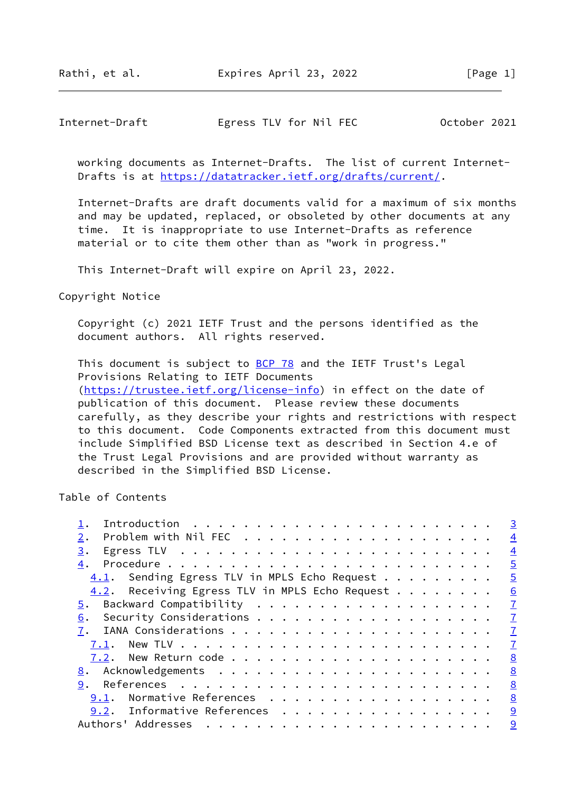Rathi, et al. Expires April 23, 2022 [Page 1]

## Internet-Draft Egress TLV for Nil FEC October 2021

 working documents as Internet-Drafts. The list of current Internet- Drafts is at<https://datatracker.ietf.org/drafts/current/>.

 Internet-Drafts are draft documents valid for a maximum of six months and may be updated, replaced, or obsoleted by other documents at any time. It is inappropriate to use Internet-Drafts as reference material or to cite them other than as "work in progress."

This Internet-Draft will expire on April 23, 2022.

described in the Simplified BSD License.

Copyright Notice

 Copyright (c) 2021 IETF Trust and the persons identified as the document authors. All rights reserved.

This document is subject to **[BCP 78](https://datatracker.ietf.org/doc/pdf/bcp78)** and the IETF Trust's Legal Provisions Relating to IETF Documents [\(https://trustee.ietf.org/license-info](https://trustee.ietf.org/license-info)) in effect on the date of publication of this document. Please review these documents carefully, as they describe your rights and restrictions with respect to this document. Code Components extracted from this document must include Simplified BSD License text as described in Section 4.e of the Trust Legal Provisions and are provided without warranty as

Table of Contents

| Egress TLV $\ldots \ldots \ldots \ldots \ldots \ldots \ldots \ldots$<br>3.<br>4.<br>Sending Egress TLV in MPLS Echo Request<br>4.1.<br>4.2. Receiving Egress TLV in MPLS Echo Request<br>5.<br>6.<br>7.1.<br>9.<br>Normative References<br>9.1.<br>9.2. Informative References<br>Authors' Addresses |  | $\overline{3}$  |
|------------------------------------------------------------------------------------------------------------------------------------------------------------------------------------------------------------------------------------------------------------------------------------------------------|--|-----------------|
|                                                                                                                                                                                                                                                                                                      |  | $\overline{4}$  |
|                                                                                                                                                                                                                                                                                                      |  | $\overline{4}$  |
|                                                                                                                                                                                                                                                                                                      |  | $\overline{5}$  |
|                                                                                                                                                                                                                                                                                                      |  | $\overline{5}$  |
|                                                                                                                                                                                                                                                                                                      |  | $\underline{6}$ |
|                                                                                                                                                                                                                                                                                                      |  | $\mathbf{I}$    |
|                                                                                                                                                                                                                                                                                                      |  | $\overline{1}$  |
|                                                                                                                                                                                                                                                                                                      |  | $\mathbf{I}$    |
|                                                                                                                                                                                                                                                                                                      |  | $\mathbf{I}$    |
|                                                                                                                                                                                                                                                                                                      |  | 8               |
|                                                                                                                                                                                                                                                                                                      |  | 8               |
|                                                                                                                                                                                                                                                                                                      |  | 8               |
|                                                                                                                                                                                                                                                                                                      |  | 8               |
|                                                                                                                                                                                                                                                                                                      |  | 9               |
|                                                                                                                                                                                                                                                                                                      |  | 9               |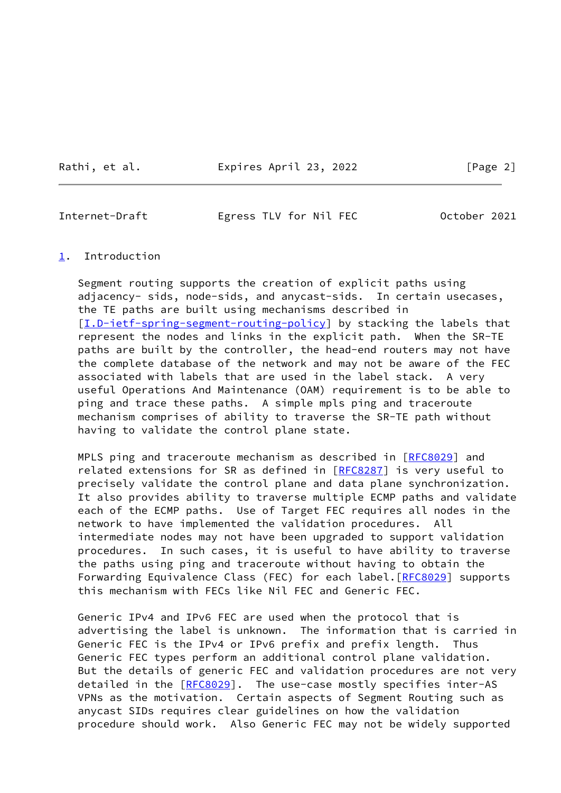Rathi, et al. Expires April 23, 2022 [Page 2]

<span id="page-2-1"></span>Internet-Draft Egress TLV for Nil FEC October 2021

### <span id="page-2-0"></span>[1](#page-2-0). Introduction

 Segment routing supports the creation of explicit paths using adjacency- sids, node-sids, and anycast-sids. In certain usecases, the TE paths are built using mechanisms described in [\[I.D-ietf-spring-segment-routing-policy](#page-8-4)] by stacking the labels that represent the nodes and links in the explicit path. When the SR-TE paths are built by the controller, the head-end routers may not have the complete database of the network and may not be aware of the FEC associated with labels that are used in the label stack. A very useful Operations And Maintenance (OAM) requirement is to be able to ping and trace these paths. A simple mpls ping and traceroute mechanism comprises of ability to traverse the SR-TE path without having to validate the control plane state.

MPLS ping and traceroute mechanism as described in [[RFC8029\]](https://datatracker.ietf.org/doc/pdf/rfc8029) and related extensions for SR as defined in [\[RFC8287](https://datatracker.ietf.org/doc/pdf/rfc8287)] is very useful to precisely validate the control plane and data plane synchronization. It also provides ability to traverse multiple ECMP paths and validate each of the ECMP paths. Use of Target FEC requires all nodes in the network to have implemented the validation procedures. All intermediate nodes may not have been upgraded to support validation procedures. In such cases, it is useful to have ability to traverse the paths using ping and traceroute without having to obtain the Forwarding Equivalence Class (FEC) for each label. [[RFC8029](https://datatracker.ietf.org/doc/pdf/rfc8029)] supports this mechanism with FECs like Nil FEC and Generic FEC.

 Generic IPv4 and IPv6 FEC are used when the protocol that is advertising the label is unknown. The information that is carried in Generic FEC is the IPv4 or IPv6 prefix and prefix length. Thus Generic FEC types perform an additional control plane validation. But the details of generic FEC and validation procedures are not very detailed in the [\[RFC8029](https://datatracker.ietf.org/doc/pdf/rfc8029)]. The use-case mostly specifies inter-AS VPNs as the motivation. Certain aspects of Segment Routing such as anycast SIDs requires clear guidelines on how the validation procedure should work. Also Generic FEC may not be widely supported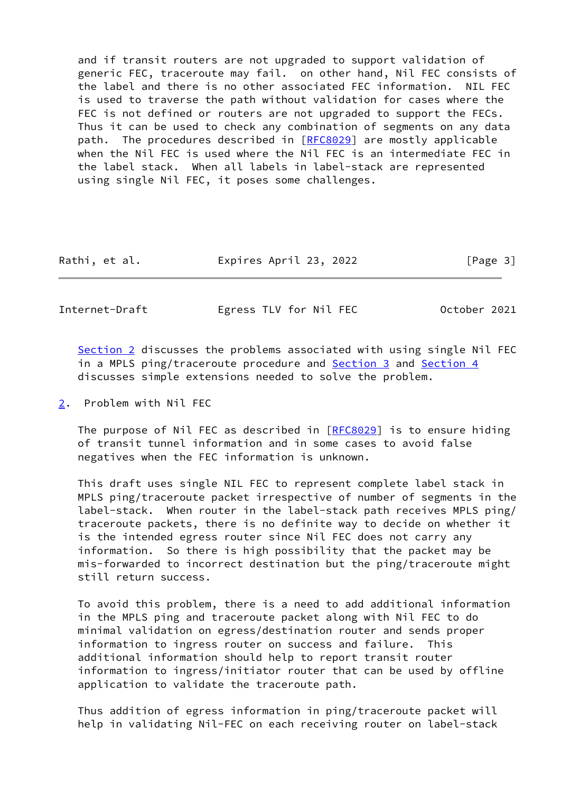and if transit routers are not upgraded to support validation of generic FEC, traceroute may fail. on other hand, Nil FEC consists of the label and there is no other associated FEC information. NIL FEC is used to traverse the path without validation for cases where the FEC is not defined or routers are not upgraded to support the FECs. Thus it can be used to check any combination of segments on any data path. The procedures described in [[RFC8029\]](https://datatracker.ietf.org/doc/pdf/rfc8029) are mostly applicable when the Nil FEC is used where the Nil FEC is an intermediate FEC in the label stack. When all labels in label-stack are represented using single Nil FEC, it poses some challenges.

| Expires April 23, 2022<br>Rathi, et al. | [Page 3] |  |
|-----------------------------------------|----------|--|
|-----------------------------------------|----------|--|

<span id="page-3-1"></span>Internet-Draft Egress TLV for Nil FEC October 2021

[Section 2](#page-3-0) discusses the problems associated with using single Nil FEC in a MPLS ping/traceroute procedure and [Section 3](#page-4-0) and [Section 4](#page-4-1) discusses simple extensions needed to solve the problem.

<span id="page-3-0"></span>[2](#page-3-0). Problem with Nil FEC

 The purpose of Nil FEC as described in [\[RFC8029](https://datatracker.ietf.org/doc/pdf/rfc8029)] is to ensure hiding of transit tunnel information and in some cases to avoid false negatives when the FEC information is unknown.

 This draft uses single NIL FEC to represent complete label stack in MPLS ping/traceroute packet irrespective of number of segments in the label-stack. When router in the label-stack path receives MPLS ping/ traceroute packets, there is no definite way to decide on whether it is the intended egress router since Nil FEC does not carry any information. So there is high possibility that the packet may be mis-forwarded to incorrect destination but the ping/traceroute might still return success.

 To avoid this problem, there is a need to add additional information in the MPLS ping and traceroute packet along with Nil FEC to do minimal validation on egress/destination router and sends proper information to ingress router on success and failure. This additional information should help to report transit router information to ingress/initiator router that can be used by offline application to validate the traceroute path.

 Thus addition of egress information in ping/traceroute packet will help in validating Nil-FEC on each receiving router on label-stack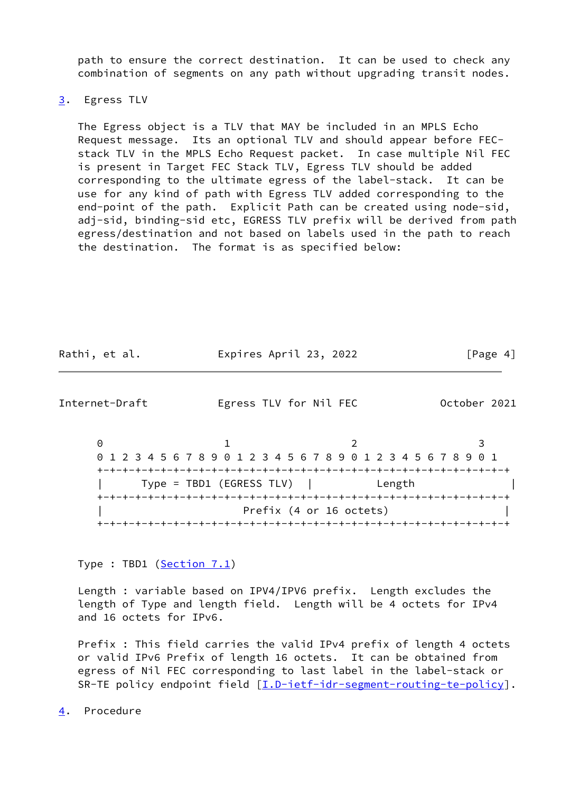path to ensure the correct destination. It can be used to check any combination of segments on any path without upgrading transit nodes.

### <span id="page-4-0"></span>[3](#page-4-0). Egress TLV

 The Egress object is a TLV that MAY be included in an MPLS Echo Request message. Its an optional TLV and should appear before FEC stack TLV in the MPLS Echo Request packet. In case multiple Nil FEC is present in Target FEC Stack TLV, Egress TLV should be added corresponding to the ultimate egress of the label-stack. It can be use for any kind of path with Egress TLV added corresponding to the end-point of the path. Explicit Path can be created using node-sid, adj-sid, binding-sid etc, EGRESS TLV prefix will be derived from path egress/destination and not based on labels used in the path to reach the destination. The format is as specified below:

| Rathi, et al. | Expires April 23, 2022 | [Page 4] |
|---------------|------------------------|----------|
|---------------|------------------------|----------|

<span id="page-4-2"></span>Internet-Draft Egress TLV for Nil FEC October 2021

0 1 2 3 0 1 2 3 4 5 6 7 8 9 0 1 2 3 4 5 6 7 8 9 0 1 2 3 4 5 6 7 8 9 0 1 +-+-+-+-+-+-+-+-+-+-+-+-+-+-+-+-+-+-+-+-+-+-+-+-+-+-+-+-+-+-+-+-+ | Type = TBD1 (EGRESS TLV) | Length | +-+-+-+-+-+-+-+-+-+-+-+-+-+-+-+-+-+-+-+-+-+-+-+-+-+-+-+-+-+-+-+-+ Prefix (4 or 16 octets) +-+-+-+-+-+-+-+-+-+-+-+-+-+-+-+-+-+-+-+-+-+-+-+-+-+-+-+-+-+-+-+-+

Type : TBD1 [\(Section 7.1](#page-7-3))

 Length : variable based on IPV4/IPV6 prefix. Length excludes the length of Type and length field. Length will be 4 octets for IPv4 and 16 octets for IPv6.

 Prefix : This field carries the valid IPv4 prefix of length 4 octets or valid IPv6 Prefix of length 16 octets. It can be obtained from egress of Nil FEC corresponding to last label in the label-stack or SR-TE policy endpoint field [\[I.D-ietf-idr-segment-routing-te-policy](#page-5-2)].

<span id="page-4-1"></span>[4](#page-4-1). Procedure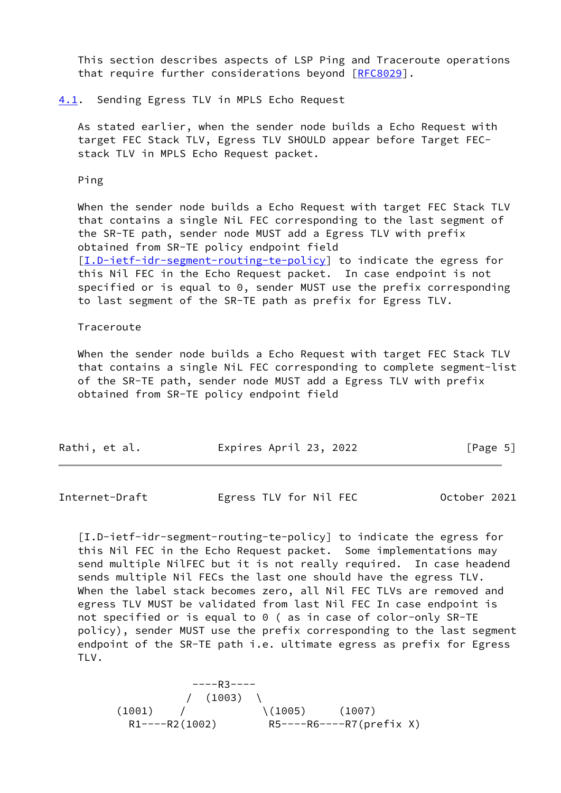This section describes aspects of LSP Ping and Traceroute operations that require further considerations beyond [[RFC8029\]](https://datatracker.ietf.org/doc/pdf/rfc8029).

#### <span id="page-5-0"></span>[4.1](#page-5-0). Sending Egress TLV in MPLS Echo Request

 As stated earlier, when the sender node builds a Echo Request with target FEC Stack TLV, Egress TLV SHOULD appear before Target FEC stack TLV in MPLS Echo Request packet.

Ping

 When the sender node builds a Echo Request with target FEC Stack TLV that contains a single NiL FEC corresponding to the last segment of the SR-TE path, sender node MUST add a Egress TLV with prefix obtained from SR-TE policy endpoint field [\[I.D-ietf-idr-segment-routing-te-policy](#page-5-2)] to indicate the egress for this Nil FEC in the Echo Request packet. In case endpoint is not specified or is equal to 0, sender MUST use the prefix corresponding to last segment of the SR-TE path as prefix for Egress TLV.

#### Traceroute

 When the sender node builds a Echo Request with target FEC Stack TLV that contains a single NiL FEC corresponding to complete segment-list of the SR-TE path, sender node MUST add a Egress TLV with prefix obtained from SR-TE policy endpoint field

| Rathi, et al. | Expires April 23, 2022 | [Page 5] |
|---------------|------------------------|----------|
|               |                        |          |

<span id="page-5-1"></span>Internet-Draft Egress TLV for Nil FEC October 2021

<span id="page-5-2"></span> [I.D-ietf-idr-segment-routing-te-policy] to indicate the egress for this Nil FEC in the Echo Request packet. Some implementations may send multiple NilFEC but it is not really required. In case headend sends multiple Nil FECs the last one should have the egress TLV. When the label stack becomes zero, all Nil FEC TLVs are removed and egress TLV MUST be validated from last Nil FEC In case endpoint is not specified or is equal to 0 ( as in case of color-only SR-TE policy), sender MUST use the prefix corresponding to the last segment endpoint of the SR-TE path i.e. ultimate egress as prefix for Egress TLV.

 ----R3----  $/ (1003)$  $(1001)$  /  $(1005)$   $(1007)$ R1----R2(1002) R5----R6----R7(prefix X)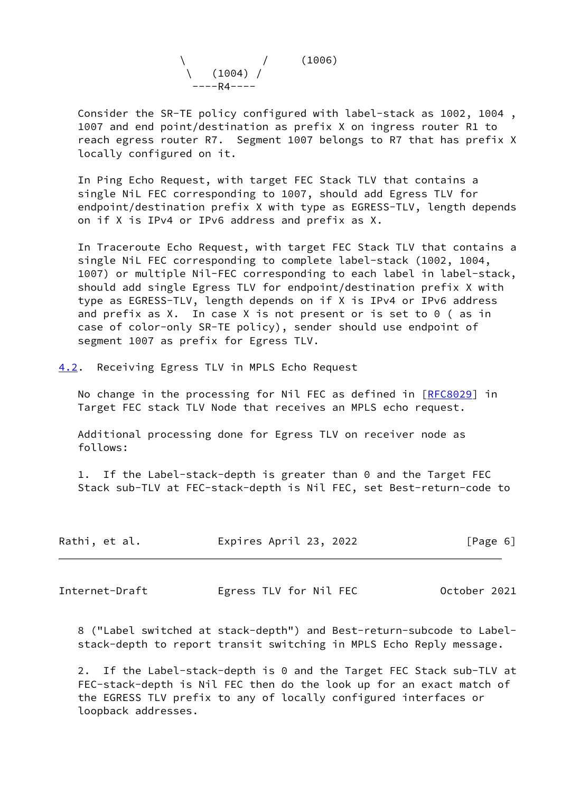

 Consider the SR-TE policy configured with label-stack as 1002, 1004 , 1007 and end point/destination as prefix X on ingress router R1 to reach egress router R7. Segment 1007 belongs to R7 that has prefix X locally configured on it.

 In Ping Echo Request, with target FEC Stack TLV that contains a single NiL FEC corresponding to 1007, should add Egress TLV for endpoint/destination prefix X with type as EGRESS-TLV, length depends on if X is IPv4 or IPv6 address and prefix as X.

 In Traceroute Echo Request, with target FEC Stack TLV that contains a single NiL FEC corresponding to complete label-stack (1002, 1004, 1007) or multiple Nil-FEC corresponding to each label in label-stack, should add single Egress TLV for endpoint/destination prefix X with type as EGRESS-TLV, length depends on if X is IPv4 or IPv6 address and prefix as X. In case X is not present or is set to 0 ( as in case of color-only SR-TE policy), sender should use endpoint of segment 1007 as prefix for Egress TLV.

<span id="page-6-0"></span>[4.2](#page-6-0). Receiving Egress TLV in MPLS Echo Request

No change in the processing for Nil FEC as defined in [[RFC8029](https://datatracker.ietf.org/doc/pdf/rfc8029)] in Target FEC stack TLV Node that receives an MPLS echo request.

 Additional processing done for Egress TLV on receiver node as follows:

 1. If the Label-stack-depth is greater than 0 and the Target FEC Stack sub-TLV at FEC-stack-depth is Nil FEC, set Best-return-code to

| Rathi, et al. | Expires April 23, 2022 | [Page 6] |  |
|---------------|------------------------|----------|--|
|               |                        |          |  |

<span id="page-6-1"></span>Internet-Draft Egress TLV for Nil FEC October 2021

 8 ("Label switched at stack-depth") and Best-return-subcode to Label stack-depth to report transit switching in MPLS Echo Reply message.

 2. If the Label-stack-depth is 0 and the Target FEC Stack sub-TLV at FEC-stack-depth is Nil FEC then do the look up for an exact match of the EGRESS TLV prefix to any of locally configured interfaces or loopback addresses.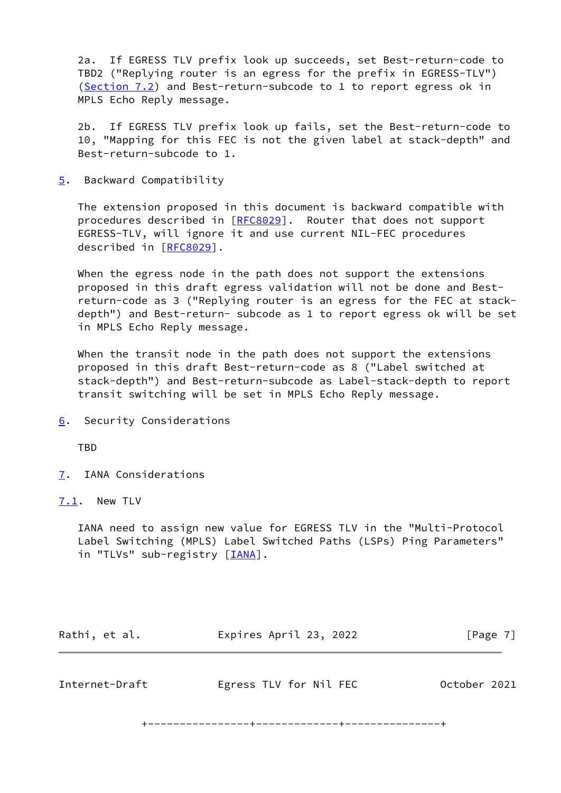2a. If EGRESS TLV prefix look up succeeds, set Best-return-code to TBD2 ("Replying router is an egress for the prefix in EGRESS-TLV") [\(Section 7.2](#page-8-0)) and Best-return-subcode to 1 to report egress ok in MPLS Echo Reply message.

 2b. If EGRESS TLV prefix look up fails, set the Best-return-code to 10, "Mapping for this FEC is not the given label at stack-depth" and Best-return-subcode to 1.

<span id="page-7-0"></span>[5](#page-7-0). Backward Compatibility

 The extension proposed in this document is backward compatible with procedures described in [\[RFC8029](https://datatracker.ietf.org/doc/pdf/rfc8029)]. Router that does not support EGRESS-TLV, will ignore it and use current NIL-FEC procedures described in [\[RFC8029](https://datatracker.ietf.org/doc/pdf/rfc8029)].

 When the egress node in the path does not support the extensions proposed in this draft egress validation will not be done and Best return-code as 3 ("Replying router is an egress for the FEC at stack depth") and Best-return- subcode as 1 to report egress ok will be set in MPLS Echo Reply message.

 When the transit node in the path does not support the extensions proposed in this draft Best-return-code as 8 ("Label switched at stack-depth") and Best-return-subcode as Label-stack-depth to report transit switching will be set in MPLS Echo Reply message.

<span id="page-7-1"></span>[6](#page-7-1). Security Considerations

**TBD** 

<span id="page-7-2"></span>[7](#page-7-2). IANA Considerations

<span id="page-7-3"></span>[7.1](#page-7-3). New TLV

 IANA need to assign new value for EGRESS TLV in the "Multi-Protocol Label Switching (MPLS) Label Switched Paths (LSPs) Ping Parameters" in "TLVs" sub-registry [*IANA*].

<span id="page-7-4"></span>

| Rathi, et al.  | Expires April 23, 2022 | [Page 7]     |
|----------------|------------------------|--------------|
|                |                        |              |
| Internet-Draft | Egress TLV for Nil FEC | October 2021 |

+----------------+-------------+---------------+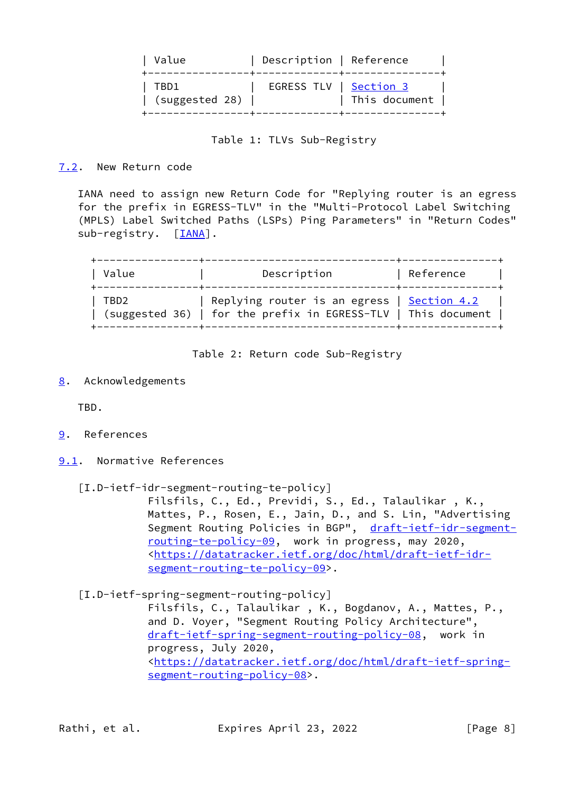| Value                  | Description   Reference |               |
|------------------------|-------------------------|---------------|
| TBD1<br>(suggested 28) | EGRESS TLV   Section 3  | This document |

# Table 1: TLVs Sub-Registry

# <span id="page-8-0"></span>[7.2](#page-8-0). New Return code

 IANA need to assign new Return Code for "Replying router is an egress for the prefix in EGRESS-TLV" in the "Multi-Protocol Label Switching (MPLS) Label Switched Paths (LSPs) Ping Parameters" in "Return Codes" sub-registry. [\[IANA](#page-9-2)].

| Value | Description                                                                                                          | Reference |
|-------|----------------------------------------------------------------------------------------------------------------------|-----------|
| TBD2  | Replying router is an egress   <u>Section 4.2</u><br>  (suggested 36)   for the prefix in EGRESS-TLV   This document |           |

Table 2: Return code Sub-Registry

<span id="page-8-1"></span>[8](#page-8-1). Acknowledgements

TBD.

- <span id="page-8-2"></span>[9](#page-8-2). References
- <span id="page-8-3"></span>[9.1](#page-8-3). Normative References
	- [I.D-ietf-idr-segment-routing-te-policy]

 Filsfils, C., Ed., Previdi, S., Ed., Talaulikar , K., Mattes, P., Rosen, E., Jain, D., and S. Lin, "Advertising Segment Routing Policies in BGP", [draft-ietf-idr-segment](https://datatracker.ietf.org/doc/pdf/draft-ietf-idr-segment-routing-te-policy-09) [routing-te-policy-09,](https://datatracker.ietf.org/doc/pdf/draft-ietf-idr-segment-routing-te-policy-09) work in progress, may 2020, <[https://datatracker.ietf.org/doc/html/draft-ietf-idr](https://datatracker.ietf.org/doc/html/draft-ietf-idr-segment-routing-te-policy-09) [segment-routing-te-policy-09>](https://datatracker.ietf.org/doc/html/draft-ietf-idr-segment-routing-te-policy-09).

<span id="page-8-4"></span>[I.D-ietf-spring-segment-routing-policy]

 Filsfils, C., Talaulikar , K., Bogdanov, A., Mattes, P., and D. Voyer, "Segment Routing Policy Architecture", [draft-ietf-spring-segment-routing-policy-08](https://datatracker.ietf.org/doc/pdf/draft-ietf-spring-segment-routing-policy-08), work in progress, July 2020, <[https://datatracker.ietf.org/doc/html/draft-ietf-spring](https://datatracker.ietf.org/doc/html/draft-ietf-spring-segment-routing-policy-08) [segment-routing-policy-08>](https://datatracker.ietf.org/doc/html/draft-ietf-spring-segment-routing-policy-08).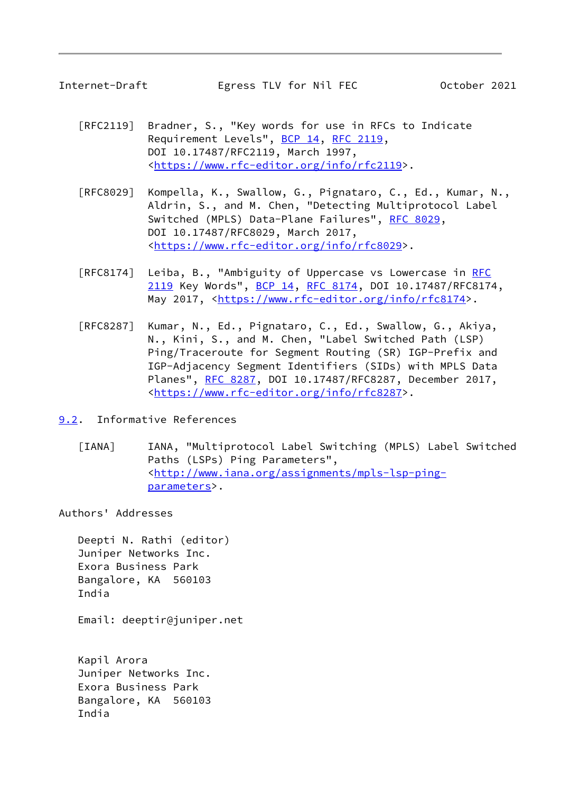<span id="page-9-1"></span>

- [RFC2119] Bradner, S., "Key words for use in RFCs to Indicate Requirement Levels", [BCP 14](https://datatracker.ietf.org/doc/pdf/bcp14), [RFC 2119](https://datatracker.ietf.org/doc/pdf/rfc2119), DOI 10.17487/RFC2119, March 1997, <[https://www.rfc-editor.org/info/rfc2119>](https://www.rfc-editor.org/info/rfc2119).
- [RFC8029] Kompella, K., Swallow, G., Pignataro, C., Ed., Kumar, N., Aldrin, S., and M. Chen, "Detecting Multiprotocol Label Switched (MPLS) Data-Plane Failures", [RFC 8029](https://datatracker.ietf.org/doc/pdf/rfc8029), DOI 10.17487/RFC8029, March 2017, <[https://www.rfc-editor.org/info/rfc8029>](https://www.rfc-editor.org/info/rfc8029).
- [RFC8174] Leiba, B., "Ambiguity of Uppercase vs Lowercase in [RFC](https://datatracker.ietf.org/doc/pdf/rfc2119) [2119](https://datatracker.ietf.org/doc/pdf/rfc2119) Key Words", [BCP 14](https://datatracker.ietf.org/doc/pdf/bcp14), [RFC 8174,](https://datatracker.ietf.org/doc/pdf/rfc8174) DOI 10.17487/RFC8174, May 2017, [<https://www.rfc-editor.org/info/rfc8174](https://www.rfc-editor.org/info/rfc8174)>.
- [RFC8287] Kumar, N., Ed., Pignataro, C., Ed., Swallow, G., Akiya, N., Kini, S., and M. Chen, "Label Switched Path (LSP) Ping/Traceroute for Segment Routing (SR) IGP-Prefix and IGP-Adjacency Segment Identifiers (SIDs) with MPLS Data Planes", [RFC 8287,](https://datatracker.ietf.org/doc/pdf/rfc8287) DOI 10.17487/RFC8287, December 2017, <[https://www.rfc-editor.org/info/rfc8287>](https://www.rfc-editor.org/info/rfc8287).
- <span id="page-9-2"></span><span id="page-9-0"></span>[9.2](#page-9-0). Informative References
	- [IANA] IANA, "Multiprotocol Label Switching (MPLS) Label Switched Paths (LSPs) Ping Parameters", <[http://www.iana.org/assignments/mpls-lsp-ping](http://www.iana.org/assignments/mpls-lsp-ping-parameters) [parameters>](http://www.iana.org/assignments/mpls-lsp-ping-parameters).

Authors' Addresses

 Deepti N. Rathi (editor) Juniper Networks Inc. Exora Business Park Bangalore, KA 560103 India

Email: deeptir@juniper.net

 Kapil Arora Juniper Networks Inc. Exora Business Park Bangalore, KA 560103 India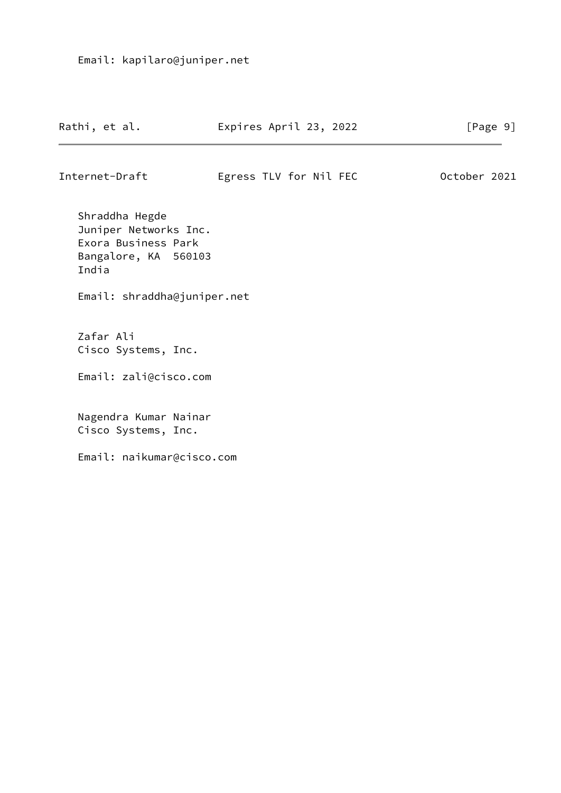| Rathi, et al. | Expires April 23, 2022 | [Page 9] |
|---------------|------------------------|----------|
|               |                        |          |

Internet-Draft Egress TLV for Nil FEC October 2021

 Shraddha Hegde Juniper Networks Inc. Exora Business Park Bangalore, KA 560103 India

Email: shraddha@juniper.net

 Zafar Ali Cisco Systems, Inc.

Email: zali@cisco.com

 Nagendra Kumar Nainar Cisco Systems, Inc.

Email: naikumar@cisco.com